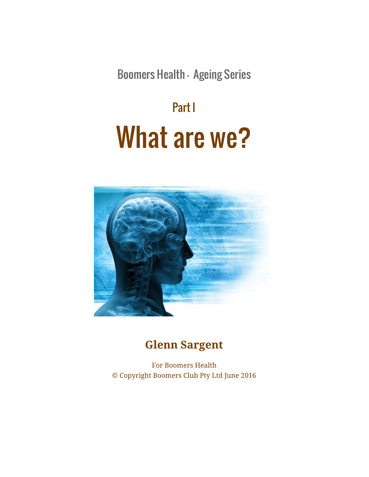Boomers Health - Ageing Series

# Part I What are we?



## **Glenn Sargent**

For Boomers Health © Copyright Boomers Club Pty Ltd June 2016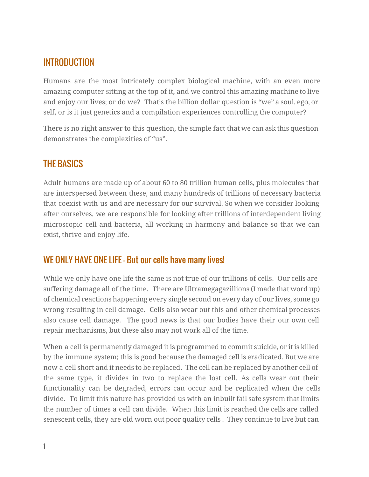#### INTRODUCTION

Humans are the most intricately complex biological machine, with an even more amazing computer sitting at the top of it, and we control this amazing machine to live and enjoy our lives; or do we? That's the billion dollar question is "we" a soul, ego, or self, or is it just genetics and a compilation experiences controlling the computer?

There is no right answer to this question, the simple fact that we can ask this question demonstrates the complexities of "us".

### THE BASICS

Adult humans are made up of about 60 to 80 trillion human cells, plus molecules that are interspersed between these, and many hundreds of trillions of necessary bacteria that coexist with us and are necessary for our survival. So when we consider looking after ourselves, we are responsible for looking after trillions of interdependent living microscopic cell and bacteria, all working in harmony and balance so that we can exist, thrive and enjoy life.

#### WE ONLY HAVE ONE LIFE - But our cells have many lives!

While we only have one life the same is not true of our trillions of cells. Our cells are suffering damage all of the time. There are Ultramegagazillions (I made that word up) of chemical reactions happening every single second on every day of our lives, some go wrong resulting in cell damage. Cells also wear out this and other chemical processes also cause cell damage. The good news is that our bodies have their our own cell repair mechanisms, but these also may not work all of the time.

When a cell is permanently damaged it is programmed to commit suicide, or it is killed by the immune system; this is good because the damaged cell is eradicated. But we are now a cell short and it needs to be replaced. The cell can be replaced by another cell of the same type, it divides in two to replace the lost cell. As cells wear out their functionality can be degraded, errors can occur and be replicated when the cells divide. To limit this nature has provided us with an inbuilt fail safe system that limits the number of times a cell can divide. When this limit is reached the cells are called senescent cells, they are old worn out poor quality cells . They continue to live but can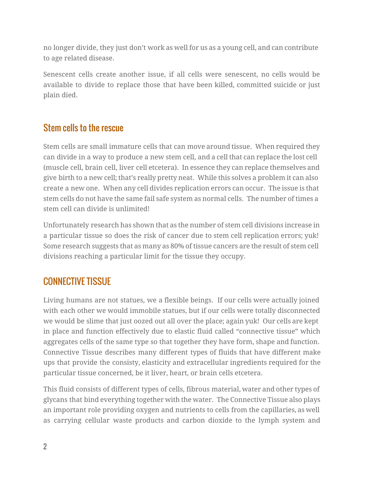no longer divide, they just don't work as well for us as a young cell, and can contribute to age related disease.

Senescent cells create another issue, if all cells were senescent, no cells would be available to divide to replace those that have been killed, committed suicide or just plain died.

#### Stem cells to the rescue

Stem cells are small immature cells that can move around tissue. When required they can divide in a way to produce a new stem cell, and a cell that can replace the lost cell (muscle cell, brain cell, liver cell etcetera). In essence they can replace themselves and give birth to a new cell; that's really pretty neat. While this solves a problem it can also create a new one. When any cell divides replication errors can occur. The issue is that stem cells do not have the same fail safe system as normal cells. The number of times a stem cell can divide is unlimited!

Unfortunately research has shown that as the number of stem cell divisions increase in a particular tissue so does the risk of cancer due to stem cell replication errors; yuk! Some research suggests that as many as 80% of tissue cancers are the result of stem cell divisions reaching a particular limit for the tissue they occupy.

### CONNECTIVE TISSUE

Living humans are not statues, we a flexible beings. If our cells were actually joined with each other we would immobile statues, but if our cells were totally disconnected we would be slime that just oozed out all over the place; again yuk! Our cells are kept in place and function effectively due to elastic fluid called "connective tissue" which aggregates cells of the same type so that together they have form, shape and function. Connective Tissue describes many different types of fluids that have different make ups that provide the consisty, elasticity and extracellular ingredients required for the particular tissue concerned, be it liver, heart, or brain cells etcetera.

This fluid consists of different types of cells, fibrous material, water and other types of glycans that bind everything together with the water. The Connective Tissue also plays an important role providing oxygen and nutrients to cells from the capillaries, as well as carrying cellular waste products and carbon dioxide to the lymph system and